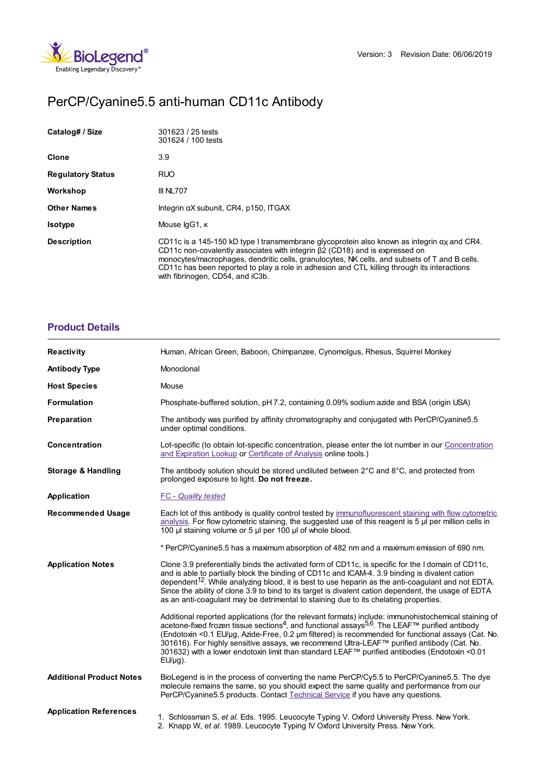

# PerCP/Cyanine5.5 anti-human CD11c Antibody

| Catalog# / Size          | 301623 / 25 tests<br>301624 / 100 tests                                                                                                                                                                                                                                                                                                                                                                                    |
|--------------------------|----------------------------------------------------------------------------------------------------------------------------------------------------------------------------------------------------------------------------------------------------------------------------------------------------------------------------------------------------------------------------------------------------------------------------|
| Clone                    | 3.9                                                                                                                                                                                                                                                                                                                                                                                                                        |
| <b>Regulatory Status</b> | <b>RUO</b>                                                                                                                                                                                                                                                                                                                                                                                                                 |
| Workshop                 | III NL707                                                                                                                                                                                                                                                                                                                                                                                                                  |
| <b>Other Names</b>       | Integrin aX subunit, CR4, p150, ITGAX                                                                                                                                                                                                                                                                                                                                                                                      |
| <b>Isotype</b>           | Mouse IgG1, K                                                                                                                                                                                                                                                                                                                                                                                                              |
| <b>Description</b>       | CD11c is a 145-150 kD type I transmembrane glycoprotein also known as integrin $\alpha$ and CR4.<br>CD11c non-covalently associates with integrin $\beta$ 2 (CD18) and is expressed on<br>monocytes/macrophages, dendritic cells, granulocytes, NK cells, and subsets of T and B cells.<br>CD11c has been reported to play a role in adhesion and CTL killing through its interactions<br>with fibrinogen, CD54, and iC3b. |

#### **[Product](https://www.biolegend.com/nl-be/products/percp-cyanine5-5-anti-human-cd11c-antibody-6930?pdf=true&displayInline=true&leftRightMargin=15&topBottomMargin=15&filename=PerCP/Cyanine5.5 anti-human CD11c Antibody.pdf#productDetails) Details**

| <b>Reactivity</b>               | Human, African Green, Baboon, Chimpanzee, Cynomolgus, Rhesus, Squirrel Monkey                                                                                                                                                                                                                                                                                                                                                                                                                                                                        |
|---------------------------------|------------------------------------------------------------------------------------------------------------------------------------------------------------------------------------------------------------------------------------------------------------------------------------------------------------------------------------------------------------------------------------------------------------------------------------------------------------------------------------------------------------------------------------------------------|
| <b>Antibody Type</b>            | Monoclonal                                                                                                                                                                                                                                                                                                                                                                                                                                                                                                                                           |
| <b>Host Species</b>             | Mouse                                                                                                                                                                                                                                                                                                                                                                                                                                                                                                                                                |
| <b>Formulation</b>              | Phosphate-buffered solution, pH 7.2, containing 0.09% sodium azide and BSA (origin USA)                                                                                                                                                                                                                                                                                                                                                                                                                                                              |
| Preparation                     | The antibody was purified by affinity chromatography and conjugated with PerCP/Cyanine5.5<br>under optimal conditions.                                                                                                                                                                                                                                                                                                                                                                                                                               |
| Concentration                   | Lot-specific (to obtain lot-specific concentration, please enter the lot number in our Concentration<br>and Expiration Lookup or Certificate of Analysis online tools.)                                                                                                                                                                                                                                                                                                                                                                              |
| <b>Storage &amp; Handling</b>   | The antibody solution should be stored undiluted between $2^{\circ}$ C and $8^{\circ}$ C, and protected from<br>prolonged exposure to light. Do not freeze.                                                                                                                                                                                                                                                                                                                                                                                          |
| Application                     | <b>FC</b> - Quality tested                                                                                                                                                                                                                                                                                                                                                                                                                                                                                                                           |
| <b>Recommended Usage</b>        | Each lot of this antibody is quality control tested by immunofluorescent staining with flow cytometric<br>analysis. For flow cytometric staining, the suggested use of this reagent is $5 \mu$ per million cells in<br>100 µl staining volume or 5 µl per 100 µl of whole blood.                                                                                                                                                                                                                                                                     |
|                                 | * PerCP/Cyanine5.5 has a maximum absorption of 482 nm and a maximum emission of 690 nm.                                                                                                                                                                                                                                                                                                                                                                                                                                                              |
| <b>Application Notes</b>        | Clone 3.9 preferentially binds the activated form of CD11c, is specific for the I domain of CD11c,<br>and is able to partially block the binding of CD11c and ICAM-4. 3.9 binding is divalent cation<br>dependent <sup>12</sup> . While analyzing blood, it is best to use heparin as the anti-coagulant and not EDTA.<br>Since the ability of clone 3.9 to bind to its target is divalent cation dependent, the usage of EDTA<br>as an anti-coagulant may be detrimental to staining due to its chelating properties.                               |
|                                 | Additional reported applications (for the relevant formats) include: immunohistochemical staining of<br>acetone-fixed frozen tissue sections <sup>4</sup> , and functional assays <sup>5,6</sup> . The LEAF™ purified antibody<br>(Endotoxin <0.1 EU/µg, Azide-Free, 0.2 µm filtered) is recommended for functional assays (Cat. No.<br>301616). For highly sensitive assays, we recommend Ultra-LEAF™ purified antibody (Cat. No.<br>301632) with a lower endotoxin limit than standard LEAF™ purified antibodies (Endotoxin <0.01<br>$EU/\mu g$ ). |
| <b>Additional Product Notes</b> | BioLegend is in the process of converting the name PerCP/Cy5.5 to PerCP/Cyanine5.5. The dye<br>molecule remains the same, so you should expect the same quality and performance from our<br>PerCP/Cyanine5.5 products. Contact Technical Service if you have any questions.                                                                                                                                                                                                                                                                          |
| <b>Application References</b>   | 1. Schlossman S, et al. Eds. 1995. Leucocyte Typing V. Oxford University Press. New York.<br>2. Knapp W, et al. 1989. Leucocyte Typing IV Oxford University Press. New York.                                                                                                                                                                                                                                                                                                                                                                         |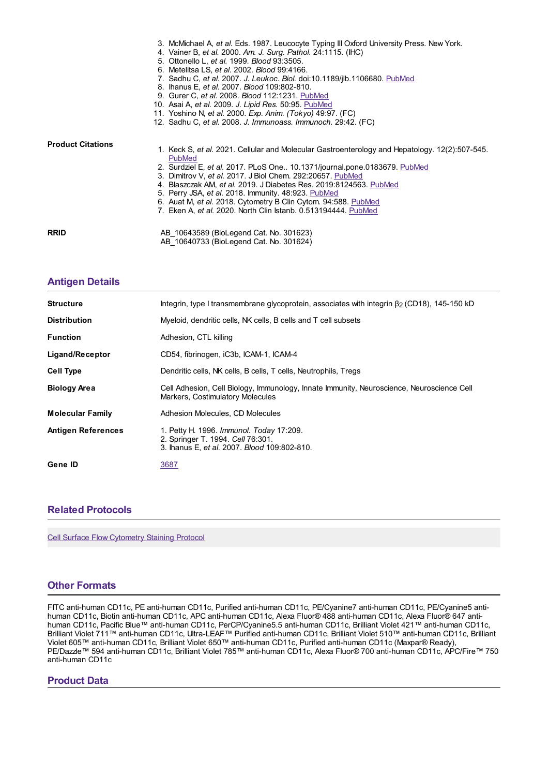|                          | 3. McMichael A, et al. Eds. 1987. Leucocyte Typing III Oxford University Press. New York.<br>4. Vainer B, et al. 2000. Am. J. Surg. Pathol. 24:1115. (IHC)<br>5. Ottonello L, et al. 1999. Blood 93:3505.<br>6. Metelitsa LS, et al. 2002. Blood 99:4166.<br>7. Sadhu C, et al. 2007. J. Leukoc. Biol. doi:10.1189/jlb.1106680. PubMed<br>8. Ihanus E, et al. 2007. Blood 109:802-810.<br>9. Gurer C, et al. 2008. Blood 112:1231. PubMed<br>10. Asai A, et al. 2009. J. Lipid Res. 50:95. PubMed<br>11. Yoshino N, et al. 2000. Exp. Anim. (Tokyo) 49:97. (FC)<br>12. Sadhu C, et al. 2008. J. Immunoass. Immunoch. 29:42. (FC) |
|--------------------------|----------------------------------------------------------------------------------------------------------------------------------------------------------------------------------------------------------------------------------------------------------------------------------------------------------------------------------------------------------------------------------------------------------------------------------------------------------------------------------------------------------------------------------------------------------------------------------------------------------------------------------|
| <b>Product Citations</b> | 1. Keck S, et al. 2021. Cellular and Molecular Gastroenterology and Hepatology. 12(2):507-545.<br>PubMed<br>2. Surdziel E, et al. 2017. PLoS One 10.1371/journal.pone.0183679. PubMed<br>3. Dimitrov V, et al. 2017. J Biol Chem. 292:20657. PubMed<br>4. Blaszczak AM, et al. 2019. J Diabetes Res. 2019:8124563. PubMed<br>5. Perry JSA, et al. 2018. Immunity. 48:923. PubMed<br>6. Auat M, et al. 2018. Cytometry B Clin Cytom. 94:588. PubMed<br>7. Eken A, et al. 2020. North Clin Istanb. 0.513194444. PubMed                                                                                                             |
| <b>RRID</b>              | AB 10643589 (BioLegend Cat. No. 301623)<br>AB 10640733 (BioLegend Cat. No. 301624)                                                                                                                                                                                                                                                                                                                                                                                                                                                                                                                                               |

## **[Antigen](https://www.biolegend.com/nl-be/products/percp-cyanine5-5-anti-human-cd11c-antibody-6930?pdf=true&displayInline=true&leftRightMargin=15&topBottomMargin=15&filename=PerCP/Cyanine5.5 anti-human CD11c Antibody.pdf#antigenDetails) Details**

| <b>Structure</b>          | Integrin, type I transmembrane glycoprotein, associates with integrin $\beta$ (CD18), 145-150 kD                              |
|---------------------------|-------------------------------------------------------------------------------------------------------------------------------|
| <b>Distribution</b>       | Myeloid, dendritic cells, NK cells, B cells and T cell subsets                                                                |
| <b>Function</b>           | Adhesion, CTL killing                                                                                                         |
| Ligand/Receptor           | CD54, fibrinogen, iC3b, ICAM-1, ICAM-4                                                                                        |
| <b>Cell Type</b>          | Dendritic cells, NK cells, B cells, T cells, Neutrophils, Tregs                                                               |
| <b>Biology Area</b>       | Cell Adhesion, Cell Biology, Immunology, Innate Immunity, Neuroscience, Neuroscience Cell<br>Markers, Costimulatory Molecules |
| <b>Molecular Family</b>   | Adhesion Molecules, CD Molecules                                                                                              |
| <b>Antigen References</b> | 1. Petty H. 1996. Immunol. Today 17:209.<br>2. Springer T. 1994. Cell 76:301.<br>3. Ihanus E. et al. 2007. Blood 109:802-810. |
| Gene ID                   | 3687                                                                                                                          |

#### **Related [Protocols](https://www.biolegend.com/nl-be/products/percp-cyanine5-5-anti-human-cd11c-antibody-6930?pdf=true&displayInline=true&leftRightMargin=15&topBottomMargin=15&filename=PerCP/Cyanine5.5 anti-human CD11c Antibody.pdf#productRelatedProtocols)**

Cell Surface Flow [Cytometry](https://www.biolegend.com/protocols/cell-surface-flow-cytometry-staining-protocol/4283/) Staining Protocol

### **Other [Formats](https://www.biolegend.com/nl-be/products/percp-cyanine5-5-anti-human-cd11c-antibody-6930?pdf=true&displayInline=true&leftRightMargin=15&topBottomMargin=15&filename=PerCP/Cyanine5.5 anti-human CD11c Antibody.pdf#productOtherFormats)**

FITC anti-human CD11c, PE anti-human CD11c, Purified anti-human CD11c, PE/Cyanine7 anti-human CD11c, PE/Cyanine5 antihuman CD11c, Biotin anti-human CD11c, APC anti-human CD11c, Alexa Fluor® 488 anti-human CD11c, Alexa Fluor® 647 antihuman CD11c, Pacific Blue™ anti-human CD11c, PerCP/Cyanine5.5 anti-human CD11c, Brilliant Violet 421™ anti-human CD11c, Brilliant Violet 711™ anti-human CD11c, Ultra-LEAF™ Purified anti-human CD11c, Brilliant Violet 510™ anti-human CD11c, Brilliant Violet 605™ anti-human CD11c, Brilliant Violet 650™ anti-human CD11c, Purified anti-human CD11c (Maxpar® Ready), PE/Dazzle™ 594 anti-human CD11c, Brilliant Violet 785™ anti-human CD11c, Alexa Fluor® 700 anti-human CD11c, APC/Fire™ 750 anti-human CD11c

#### **Product Data**